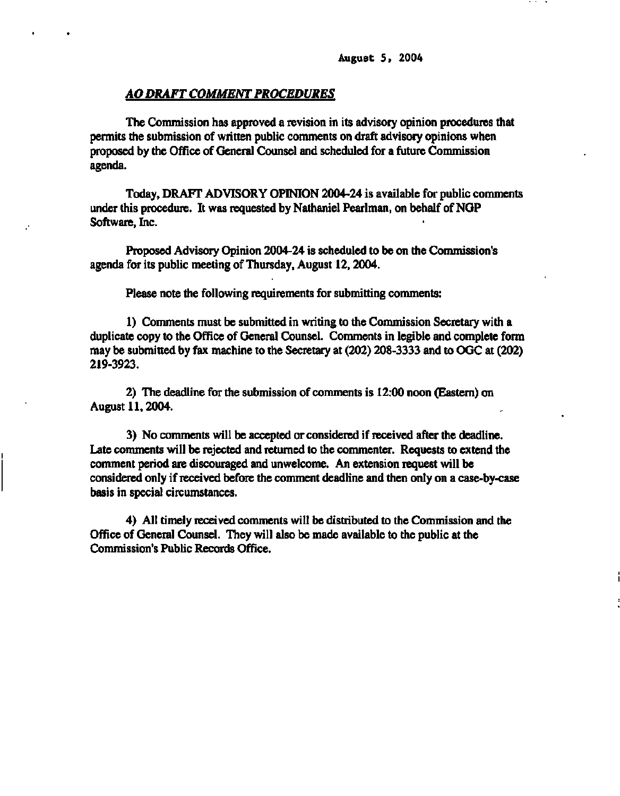## *AO DRAFT COMMENT PROCEDURES*

**The Commission has approved a revision in its advisory opinion procedures that permits the submission of written public comments on draft advisory opinions when proposed by the Office of General Counsel and scheduled for a future Commission agenda.** 

**Today, DRAFT ADVISORY OPINION 2004-24 is available for public comments under this procedure. It was requested by Nathaniel Pearlman, on behalf of NGP Software, Inc.** 

**Proposed Advisory Opinion 2004-24 is scheduled to be on the Commission's agenda for its public meeting of Thursday, August 12,2004.** 

**Please note the following requirements for submitting comments:** 

**1) Comments must be submitted in writing to the Commission Secretary with a duplicate copy to the Office of General Counsel. Comments in legible and complete form may be submitted by fax machine to the Secretary at (202) 208-3333 and to OGC at (202) 219-3923.** 

**2) The deadline for the submission of comments is 12:00 noon (Eastern) on August 11,2004.** 

**3) No comments will be accepted or considered if received after the deadline. Late comments will be rejected and returned to the commenter. Requests to extend the comment period are discouraged and unwelcome. An extension request will be considered only if received before the comment deadline and then only on a case-by-case basis in special circumstances.** 

**4) All timely received comments will be distributed to the Commission and the Office of General Counsel. They will also be made available to the public at the Commission's Public Records Office.**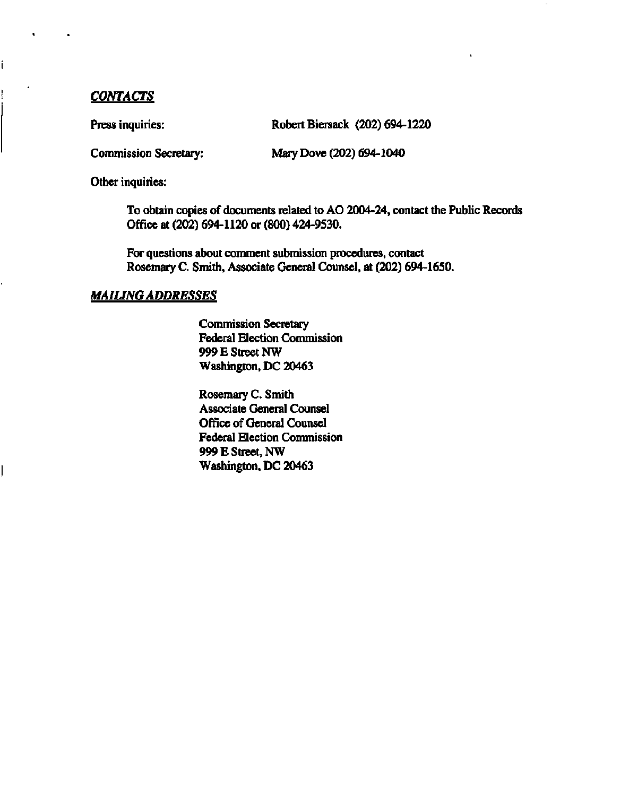# *CONTACTS*

ĺ

Press inquiries: Robert Biersack (202) 694-1220

**Commission Secretary: Mary Dove (202) 694-1040** 

**Other inquiries:** 

**To obtain copies of documents related to AO 2004-24, contact the Public Records Office at (202) 694-1120 or (800) 424-9530.** 

**For questions about comment submission procedures, contact Rosemary C. Smith, Associate General Counsel, at (202) 694-1650.** 

# *MAILING ADDRESSES*

**Commission Secretary Federal Election Commission 999 E Street NW Washington, DC 20463** 

**Rosemary C. Smith Associate General Counsel Office of General Counsel Federal Election Commission 999 E Street, NW Washington, DC 20463**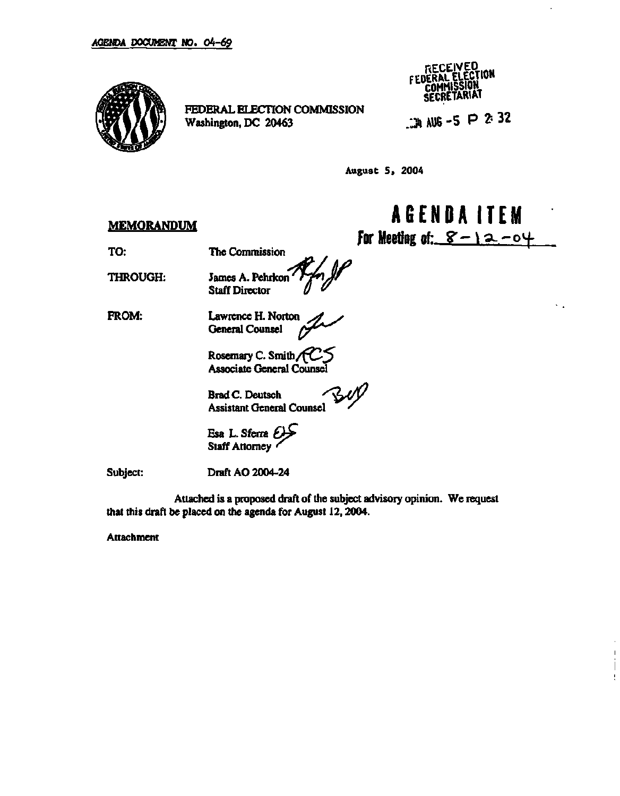

**FEDERAL ELECTION COMMISSION** 

RECEIVED<br>DERAL ELECTION FEDERAL COMMISSION **SECRETARIAT** 

**Washington, DC 20463 /JU AUG - 5 P 2- 32** 

**AGENDA ITE M** 

ч.

 $\overline{1}$ 

t

**for Meeting of:**  $8 - 12 - 04$ 

**August 5. 2004** 

## **MEMORANDUM**

**TO:** 

**THROUGH:** 

**The Commission James A. Pehrkon Staff Director F**<br>Rfn JP<br>w 1

**FROM:** 

**Lawrence H. Norton General Counsel ^** 

**Rosemary C. Smith /fC ^ Associate General Counsel** 

**Brad C. Deutsch Assistant General Counsel** 

**Esa L. Sferra** *£&*  **Staff Attorney** 

**Subject:** 

**Draft AO 2004-24** 

**Attached is a proposed draft of the subject advisory opinion. We request that this draft be placed on the agenda for August 12,2004.** 

**r ^** 

**Attachment**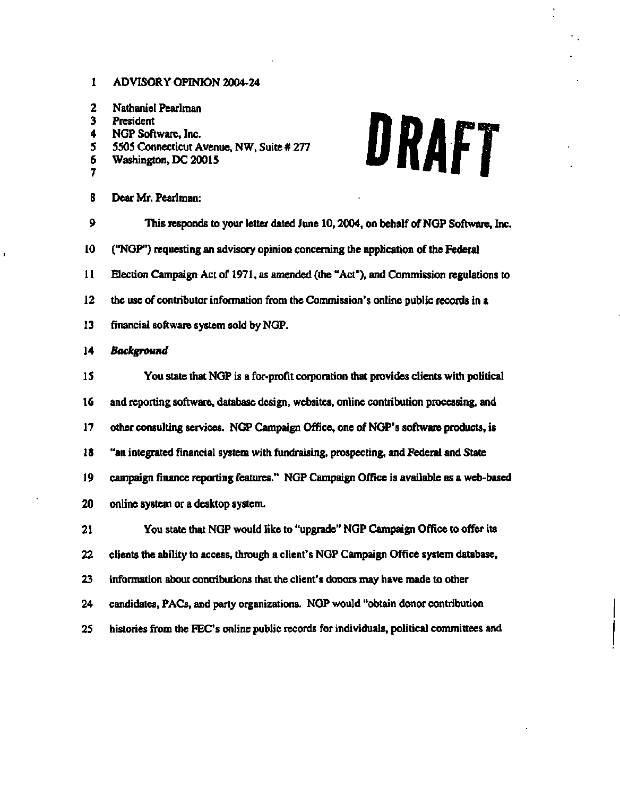### **1 ADVISORY OPINION 2004-24**

- **2 Nathaniel Pearlman**
- **3 President**
- **4 NGP Software, Inc.**
- **5 5505 Connecticut Avenue, NW, Suite # 277**
- **6 Washington, DC 20015**
- **7**
- **8 Dear Mr. Pearlman:**

# DRAFT

- **9 This responds to your letter dated June 10,2004, on behalf of NGP Software, Inc. 10 ("NGP") requesting an advisory opinion concerning the application of the Federal 11 Election Campaign Act of 1971, as amended (the "Act"), and Commission regulations to 12 the use of contributor information from the Commission's online public records in a 13 financial software system sold by NGP. 14** *Background*  **15 You state that NGP is a for-profit corporation that provides clients with political 16 and reporting software, database design, websites, online contribution processing, and 17 other consulting services. NGP Campaign Office, one of NGP's software products, is 18 "an integrated financial system with fundraising, prospecting, and Federal and State 19 campaign finance reporting features." NGP Campaign Office is available as a web-based 20 online system or a desktop system. 21 You state that NGP would like to "upgrade" NGP Campaign Office to offer its 22 clients the ability to access, through a client's NGP Campaign Office system database, 23 information about contributions that the client's donors may have made to other 24 candidates, PACs, and party organizations. NGP would "obtain donor contribution**
- **25 histories from the FEC's online public records for individuals, political committees and**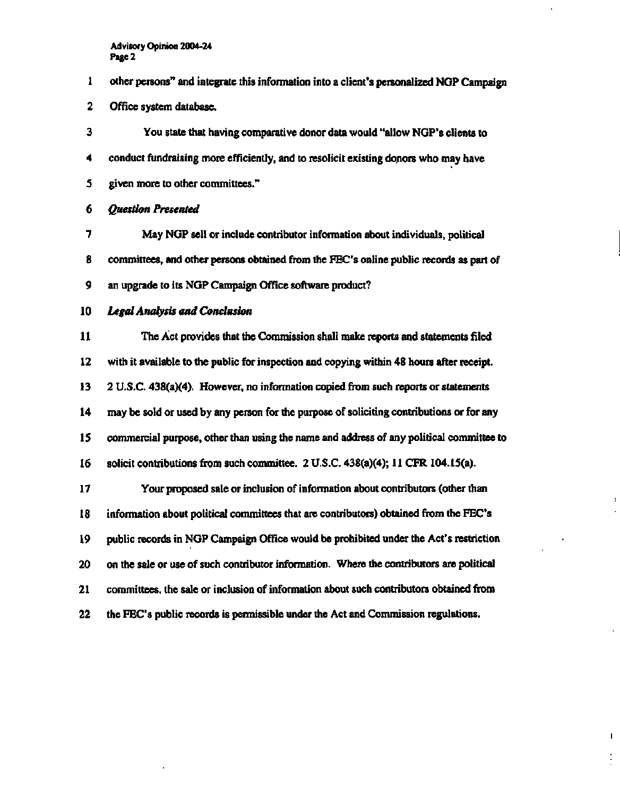- **1 other persons" and integrate this information into a client's personalized NGP Campaign**
- **2 Office system database.**

**3 You state that having comparative donor data would "allow NGP's clients to 4 conduct fundraising more efficiently, and to resolicit existing donors who may have 5 given more to other committees."** 

**6** *Question Presented* 

**7 May NGP sell or include contributor information about individuals, political 8 committees, and other persons obtained from the FEC's online public records as part of 9 an upgrade to its NGP Campaign Office software product?** 

**10** *Legal Analysis and Conclusion* 

**11 The Act provides that the Commission shall make reports and statements filed 12 with it available to the public for inspection and copying within 48 hours after receipt. 13 2 U.S.C. 438(a)(4). However, no information copied from such reports or statements 14 may be sold or used by any person for the purpose of soliciting contributions or for any 15 commercial purpose, other than using the name and address of any political committee to 16 solicit contributions from such committee. 2 U.S.C. 438(a)(4); 11 CFR 104.15(a).** 

**17 Your proposed sale or inclusion of information about contributors (other than 18 information about political committees that are contributors) obtained from the FEC's 19 public records in NGP Campaign Office would be prohibited under the Act's restriction 20 on the sale or use of such contributor information. Where the contributors are political 21 committees, the sale or inclusion of information about such contributors obtained from 22 the FEC's public records is permissible under the Act and Commission regulations.** 

 $\mathbf I$ 

÷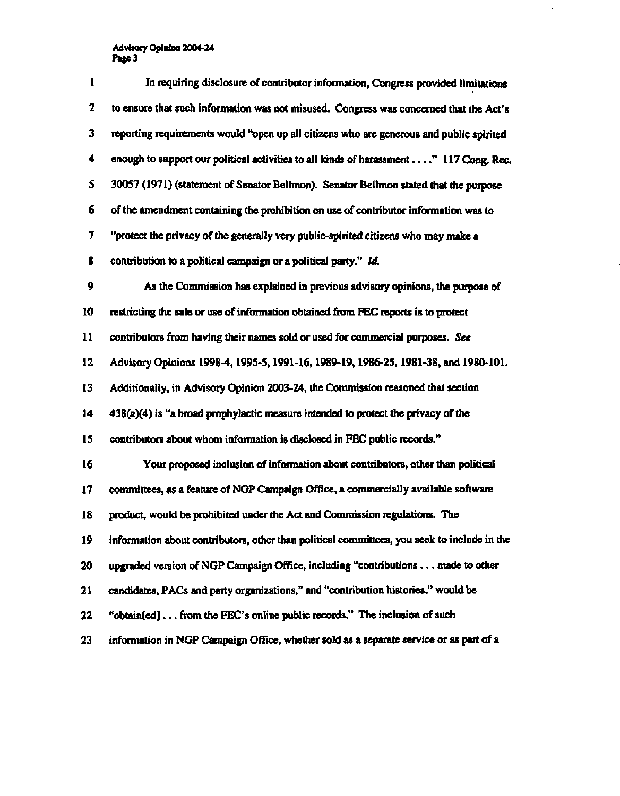| ı  | In requiring disclosure of contributor information, Congress provided limitations           |
|----|---------------------------------------------------------------------------------------------|
| 2  | to ensure that such information was not misused. Congress was concerned that the Act's      |
| 3  | reporting requirements would "open up all citizens who are generous and public spirited     |
| 4  | enough to support our political activities to all kinds of harassment " 117 Cong. Rec.      |
| 5  | 30057 (1971) (statement of Senator Bellmon). Senator Bellmon stated that the purpose        |
| 6  | of the amendment containing the prohibition on use of contributor information was to        |
| 7  | "protect the privacy of the generally very public-spirited citizens who may make a          |
| 8  | contribution to a political campaign or a political party." Id.                             |
| 9  | As the Commission has explained in previous advisory opinions, the purpose of               |
| 10 | restricting the sale or use of information obtained from FEC reports is to protect          |
| 11 | contributors from having their names sold or used for commercial purposes. See              |
| 12 | Advisory Opinions 1998-4, 1995-5, 1991-16, 1989-19, 1986-25, 1981-38, and 1980-101.         |
| 13 | Additionally, in Advisory Opinion 2003-24, the Commission reasoned that section             |
| 14 | $438(a)(4)$ is "a broad prophylactic measure intended to protect the privacy of the         |
| 15 | contributors about whom information is disclosed in FEC public records."                    |
| 16 | Your proposed inclusion of information about contributors, other than political             |
| 17 | committees, as a feature of NGP Campaign Office, a commercially available software          |
| 18 | product, would be prohibited under the Act and Commission regulations. The                  |
| 19 | information about contributors, other than political committees, you seek to include in the |
| 20 | upgraded version of NGP Campaign Office, including "contributions made to other             |
| 21 | candidates, PACs and party organizations," and "contribution histories," would be           |
| 22 | "obtain[ed] from the FEC's online public records." The inclusion of such                    |
| 23 | information in NGP Campaign Office, whether sold as a separate service or as part of a      |

 $\mathbb{Z}$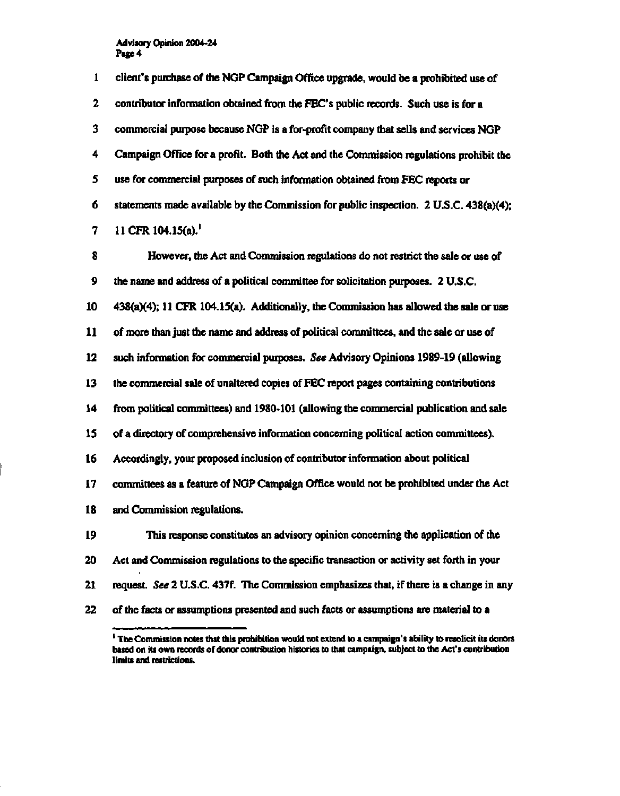| $\mathbf{I}$ | client's purchase of the NGP Campaign Office upgrade, would be a prohibited use of       |
|--------------|------------------------------------------------------------------------------------------|
| 2            | contributor information obtained from the FEC's public records. Such use is for a        |
| 3            | commercial purpose because NGP is a for-profit company that sells and services NGP       |
| 4            | Campaign Office for a profit. Both the Act and the Commission regulations prohibit the   |
| 5            | use for commercial purposes of such information obtained from FEC reports or             |
| 6            | statements made available by the Commission for public inspection. 2 U.S.C. 438(a)(4);   |
| 7            | 11 CFR 104.15(a).                                                                        |
| 8            | However, the Act and Commission regulations do not restrict the sale or use of           |
| 9            | the name and address of a political committee for solicitation purposes. 2 U.S.C.        |
| 10           | 438(a)(4); 11 CFR 104.15(a). Additionally, the Commission has allowed the sale or use    |
| 11           | of more than just the name and address of political committees, and the sale or use of   |
| 12           | such information for commercial purposes. See Advisory Opinions 1989-19 (allowing        |
| 13           | the commercial sale of unaltered copies of FEC report pages containing contributions     |
| 14           | from political committees) and 1980-101 (allowing the commercial publication and sale    |
| 15           | of a directory of comprehensive information concerning political action committees).     |
| 16           | Accordingly, your proposed inclusion of contributor information about political          |
| 17           | committees as a feature of NGP Campaign Office would not be prohibited under the Act     |
| 18           | and Commission regulations.                                                              |
| 19           | This response constitutes an advisory opinion concerning the application of the          |
| 20           | Act and Commission regulations to the specific transaction or activity set forth in your |
| 21           | request. See 2 U.S.C. 437f. The Commission emphasizes that, if there is a change in any  |
| 22           | of the facts or assumptions presented and such facts or assumptions are material to a    |

<sup>&</sup>lt;sup>1</sup> The Commission notes that this prohibition would not extend to a campaign's ability to resolicit its donors based on its own records of donor contribution histories to that campaign, subject to the Act's contribution limits and restrictions.